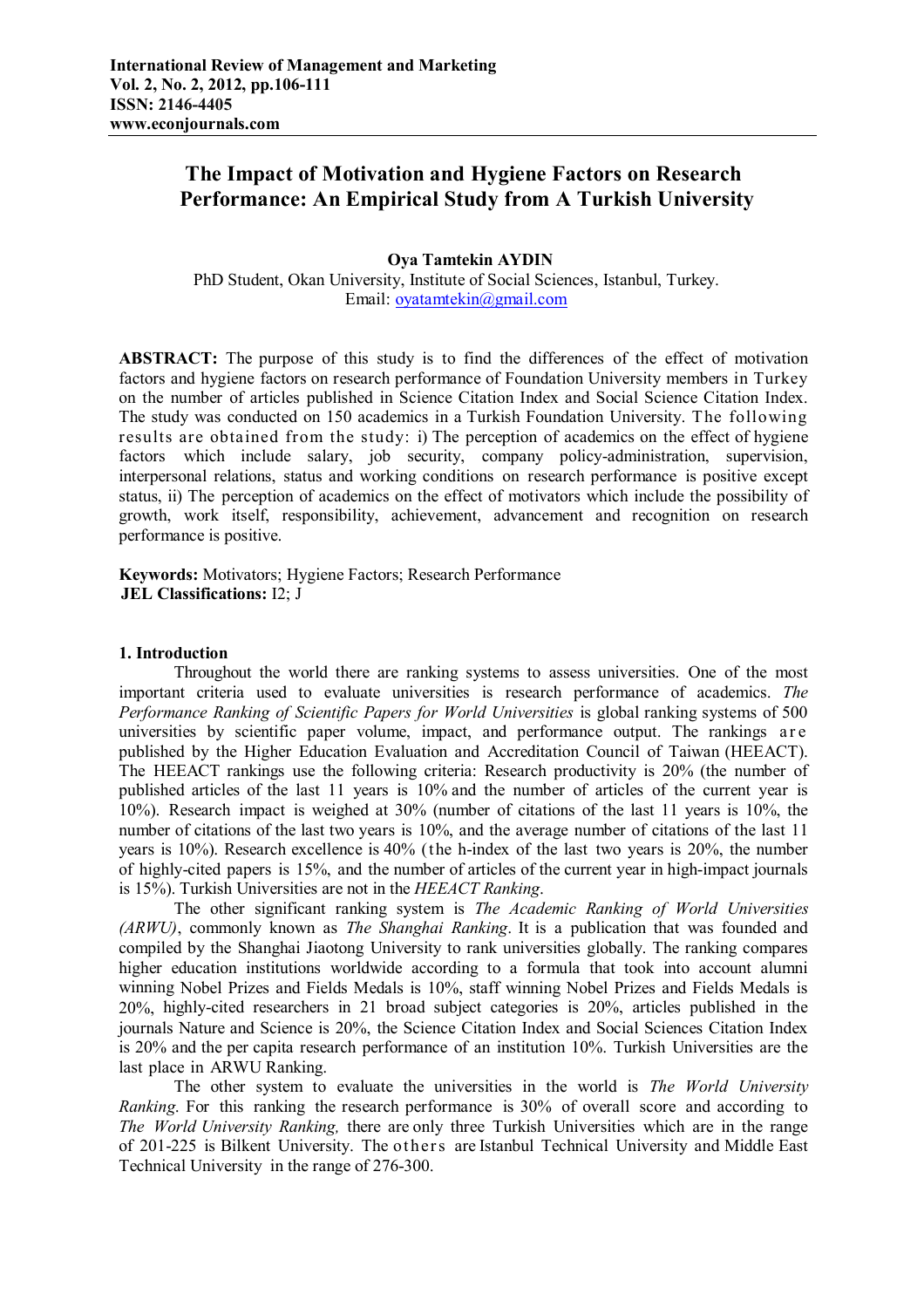# **The Impact of Motivation and Hygiene Factors on Research Performance: An Empirical Study from A Turkish University**

### **Oya Tamtekin AYDIN**

PhD Student, Okan University, Institute of Social Sciences, Istanbul, Turkey. Email: oyatamtekin@gmail.com

**ABSTRACT:** The purpose of this study is to find the differences of the effect of motivation factors and hygiene factors on research performance of Foundation University members in Turkey on the number of articles published in Science Citation Index and Social Science Citation Index. The study was conducted on 150 academics in a Turkish Foundation University. The following results are obtained from the study: i) The perception of academics on the effect of hygiene factors which include salary, job security, company policy-administration, supervision, interpersonal relations, status and working conditions on research performance is positive except status, ii) The perception of academics on the effect of motivators which include the possibility of growth, work itself, responsibility, achievement, advancement and recognition on research performance is positive.

**Keywords:** Motivators; Hygiene Factors; Research Performance **JEL Classifications:** I2; J

#### **1. Introduction**

Throughout the world there are ranking systems to assess universities. One of the most important criteria used to evaluate universities is research performance of academics. *The Performance Ranking of Scientific Papers for World Universities* is global ranking systems of 500 universities by scientific paper volume, impact, and performance output. The rankings a re published by the Higher Education Evaluation and Accreditation Council of Taiwan (HEEACT). The HEEACT rankings use the following criteria: Research productivity is 20% (the number of published articles of the last 11 years is 10% and the number of articles of the current year is 10%). Research impact is weighed at 30% (number of citations of the last 11 years is 10%, the number of citations of the last two years is 10%, and the average number of citations of the last 11 years is 10%). Research excellence is 40% (the h-index of the last two years is 20%, the number of highly-cited papers is 15%, and the number of articles of the current year in high-impact journals is 15%). Turkish Universities are not in the *HEEACT Ranking*.

The other significant ranking system is *The Academic Ranking of World Universities (ARWU)*, commonly known as *The Shanghai Ranking*. It is a publication that was founded and compiled by the Shanghai Jiaotong University to rank universities globally. The ranking compares higher education institutions worldwide according to a formula that took into account alumni winning Nobel Prizes and Fields Medals is 10%, staff winning Nobel Prizes and Fields Medals is 20%, highly-cited researchers in 21 broad subject categories is 20%, articles published in the journals Nature and Science is 20%, the Science Citation Index and Social Sciences Citation Index is 20% and the per capita research performance of an institution 10%. Turkish Universities are the last place in ARWU Ranking.

The other system to evaluate the universities in the world is *The World University Ranking*. For this ranking the research performance is 30% of overall score and according to *The World University Ranking,* there are only three Turkish Universities which are in the range of 201-225 is Bilkent University. The ot her s are Istanbul Technical University and Middle East Technical University in the range of 276-300.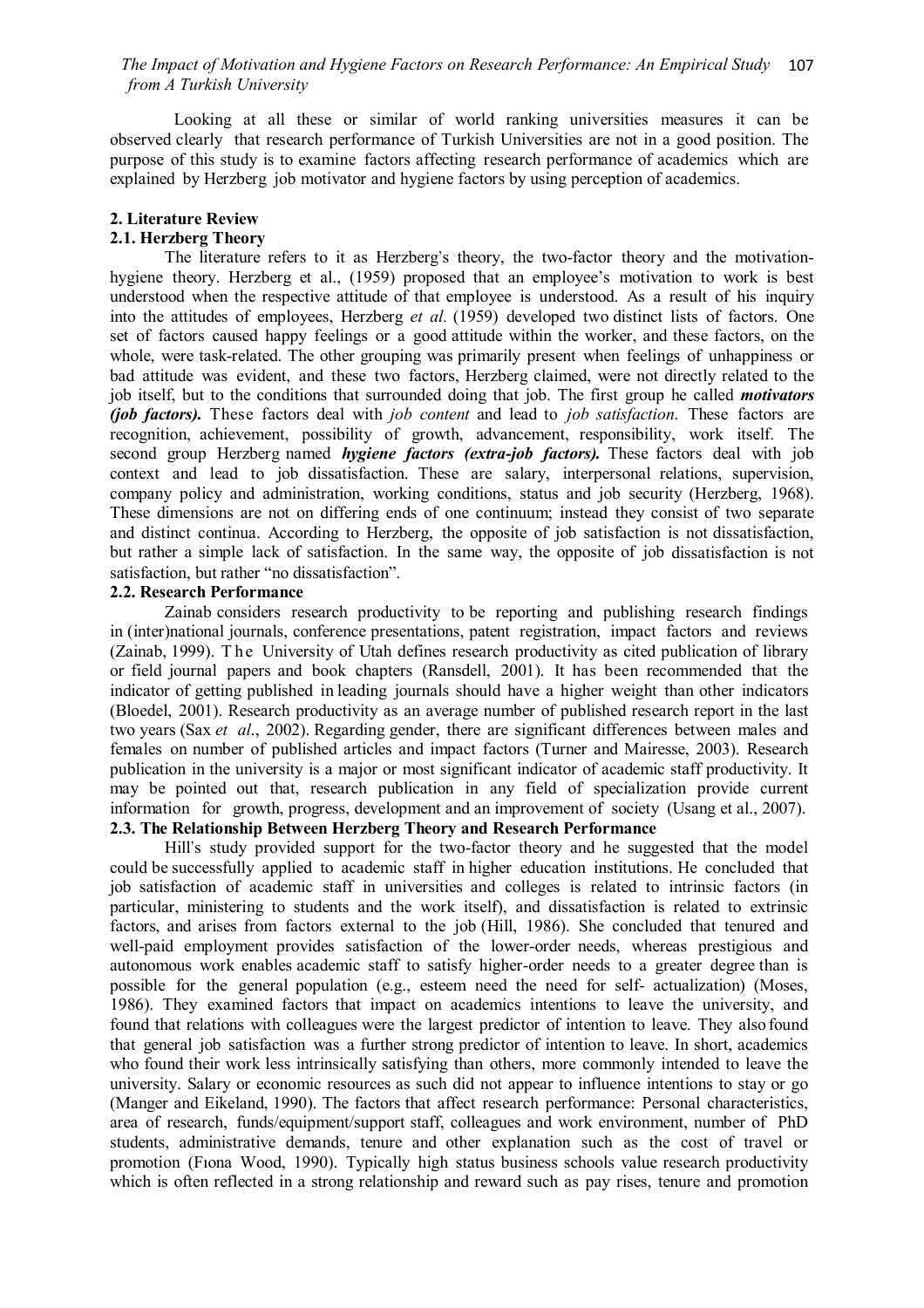Looking at all these or similar of world ranking universities measures it can be observed clearly that research performance of Turkish Universities are not in a good position. The purpose of this study is to examine factors affecting research performance of academics which are explained by Herzberg job motivator and hygiene factors by using perception of academics.

# **2. Literature Review**

### **2.1. Herzberg Theory**

The literature refers to it as Herzberg's theory, the two-factor theory and the motivationhygiene theory. Herzberg et al., (1959) proposed that an employee's motivation to work is best understood when the respective attitude of that employee is understood. As a result of his inquiry into the attitudes of employees, Herzberg *et al.* (1959) developed two distinct lists of factors. One set of factors caused happy feelings or a good attitude within the worker, and these factors, on the whole, were task-related. The other grouping was primarily present when feelings of unhappiness or bad attitude was evident, and these two factors, Herzberg claimed, were not directly related to the job itself, but to the conditions that surrounded doing that job. The first group he called *motivators (job factors).* These factors deal with *job content* and lead to *job satisfaction*. These factors are recognition, achievement, possibility of growth, advancement, responsibility, work itself. The second group Herzberg named *hygiene factors (extra-job factors).* These factors deal with job context and lead to job dissatisfaction. These are salary, interpersonal relations, supervision, company policy and administration, working conditions, status and job security (Herzberg, 1968). These dimensions are not on differing ends of one continuum; instead they consist of two separate and distinct continua. According to Herzberg, the opposite of job satisfaction is not dissatisfaction, but rather a simple lack of satisfaction. In the same way, the opposite of job dissatisfaction is not satisfaction, but rather "no dissatisfaction".

### **2.2. Research Performance**

Zainab considers research productivity to be reporting and publishing research findings in (inter)national journals, conference presentations, patent registration, impact factors and reviews (Zainab, 1999). The University of Utah defines research productivity as cited publication of library or field journal papers and book chapters (Ransdell, 2001). It has been recommended that the indicator of getting published in leading journals should have a higher weight than other indicators (Bloedel, 2001). Research productivity as an average number of published research report in the last two years (Sax *et al*., 2002). Regarding gender, there are significant differences between males and females on number of published articles and impact factors (Turner and Mairesse, 2003). Research publication in the university is a major or most significant indicator of academic staff productivity. It may be pointed out that, research publication in any field of specialization provide current information for growth, progress, development and an improvement of society (Usang et al., 2007). **2.3. The Relationship Between Herzberg Theory and Research Performance**

Hill's study provided support for the two-factor theory and he suggested that the model could be successfully applied to academic staff in higher education institutions. He concluded that job satisfaction of academic staff in universities and colleges is related to intrinsic factors (in particular, ministering to students and the work itself), and dissatisfaction is related to extrinsic factors, and arises from factors external to the job (Hill, 1986). She concluded that tenured and well-paid employment provides satisfaction of the lower-order needs, whereas prestigious and autonomous work enables academic staff to satisfy higher-order needs to a greater degree than is possible for the general population (e.g., esteem need the need for self- actualization) (Moses, 1986). They examined factors that impact on academics intentions to leave the university, and found that relations with colleagues were the largest predictor of intention to leave. They also found that general job satisfaction was a further strong predictor of intention to leave. In short, academics who found their work less intrinsically satisfying than others, more commonly intended to leave the university. Salary or economic resources as such did not appear to influence intentions to stay or go (Manger and Eikeland, 1990). The factors that affect research performance: Personal characteristics, area of research, funds/equipment/support staff, colleagues and work environment, number of PhD students, administrative demands, tenure and other explanation such as the cost of travel or promotion (Fıona Wood, 1990). Typically high status business schools value research productivity which is often reflected in a strong relationship and reward such as pay rises, tenure and promotion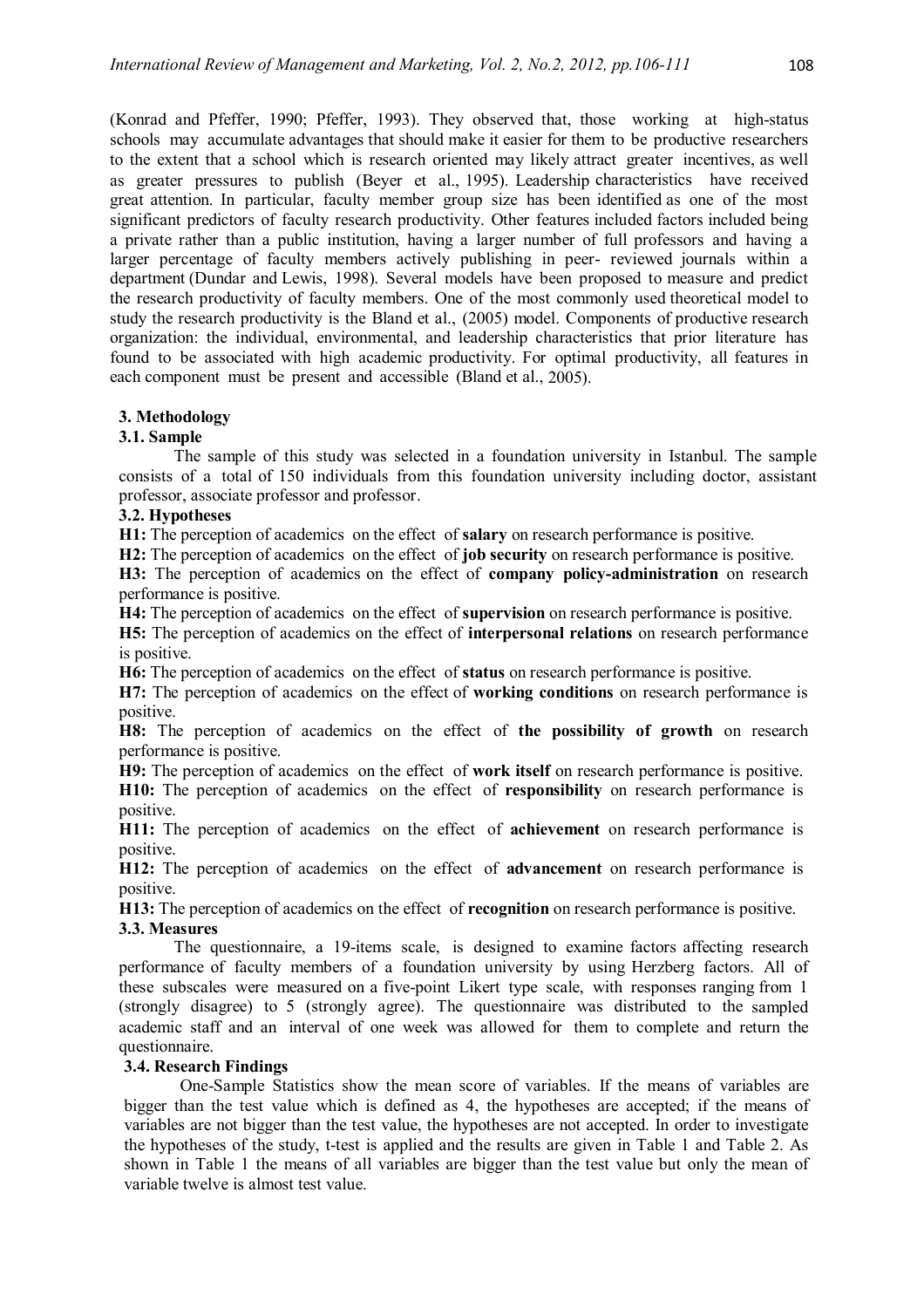(Konrad and Pfeffer, 1990; Pfeffer, 1993). They observed that, those working at high-status schools may accumulate advantages that should make it easier for them to be productive researchers to the extent that a school which is research oriented may likely attract greater incentives, as well as greater pressures to publish (Beyer et al., 1995). Leadership characteristics have received great attention. In particular, faculty member group size has been identified as one of the most significant predictors of faculty research productivity. Other features included factors included being a private rather than a public institution, having a larger number of full professors and having a larger percentage of faculty members actively publishing in peer- reviewed journals within a department (Dundar and Lewis, 1998). Several models have been proposed to measure and predict the research productivity of faculty members. One of the most commonly used theoretical model to study the research productivity is the Bland et al., (2005) model. Components of productive research organization: the individual, environmental, and leadership characteristics that prior literature has found to be associated with high academic productivity. For optimal productivity, all features in each component must be present and accessible (Bland et al., 2005).

### **3. Methodology**

# **3.1. Sample**

The sample of this study was selected in a foundation university in Istanbul. The sample consists of a total of 150 individuals from this foundation university including doctor, assistant professor, associate professor and professor.

### **3.2. Hypotheses**

**H1:** The perception of academics on the effect of **salary** on research performance is positive.

**H2:** The perception of academics on the effect of **job security** on research performance is positive.

**H3:** The perception of academics on the effect of **company policy-administration** on research performance is positive.

**H4:** The perception of academics on the effect of **supervision** on research performance is positive.

**H5:** The perception of academics on the effect of **interpersonal relations** on research performance is positive.

**H6:** The perception of academics on the effect of **status** on research performance is positive.

**H7:** The perception of academics on the effect of **working conditions** on research performance is positive.

**H8:** The perception of academics on the effect of **the possibility of growth** on research performance is positive.

**H9:** The perception of academics on the effect of **work itself** on research performance is positive. **H10:** The perception of academics on the effect of **responsibility** on research performance is positive.

**H11:** The perception of academics on the effect of **achievement** on research performance is positive.

**H12:** The perception of academics on the effect of **advancement** on research performance is positive.

**H13:** The perception of academics on the effect of **recognition** on research performance is positive. **3.3. Measures**

The questionnaire, a 19-items scale, is designed to examine factors affecting research performance of faculty members of a foundation university by using Herzberg factors. All of these subscales were measured on a five-point Likert type scale, with responses ranging from 1 (strongly disagree) to 5 (strongly agree). The questionnaire was distributed to the sampled academic staff and an interval of one week was allowed for them to complete and return the questionnaire.

### **3.4. Research Findings**

One-Sample Statistics show the mean score of variables. If the means of variables are bigger than the test value which is defined as 4, the hypotheses are accepted; if the means of variables are not bigger than the test value, the hypotheses are not accepted. In order to investigate the hypotheses of the study, t-test is applied and the results are given in Table 1 and Table 2. As shown in Table 1 the means of all variables are bigger than the test value but only the mean of variable twelve is almost test value.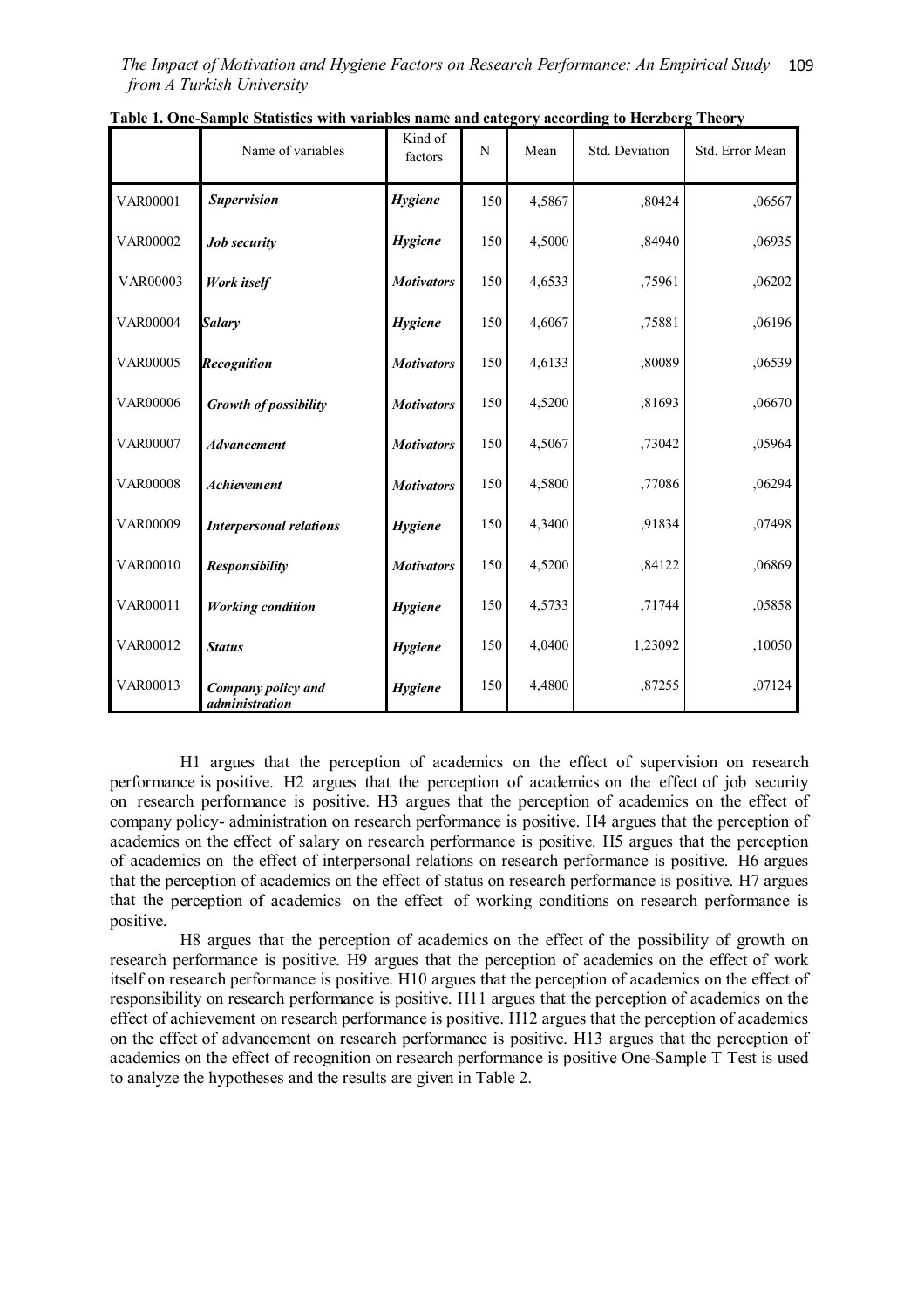*The Impact of Motivation and Hygiene Factors on Research Performance: An Empirical Study from A Turkish University*  109

|                 | Name of variables                    | Kind of<br>factors | N   | Mean   | Std. Deviation | Std. Error Mean |
|-----------------|--------------------------------------|--------------------|-----|--------|----------------|-----------------|
| <b>VAR00001</b> | <b>Supervision</b>                   | <b>Hygiene</b>     | 150 | 4,5867 | ,80424         | ,06567          |
| <b>VAR00002</b> | Job security                         | <b>Hygiene</b>     | 150 | 4,5000 | ,84940         | ,06935          |
| VAR00003        | Work itself                          | <b>Motivators</b>  | 150 | 4,6533 | ,75961         | ,06202          |
| <b>VAR00004</b> | <b>Salary</b>                        | Hygiene            | 150 | 4,6067 | ,75881         | ,06196          |
| <b>VAR00005</b> | <b>Recognition</b>                   | <b>Motivators</b>  | 150 | 4,6133 | ,80089         | ,06539          |
| <b>VAR00006</b> | <b>Growth of possibility</b>         | <b>Motivators</b>  | 150 | 4,5200 | ,81693         | ,06670          |
| <b>VAR00007</b> | <b>Advancement</b>                   | <b>Motivators</b>  | 150 | 4,5067 | ,73042         | ,05964          |
| <b>VAR00008</b> | <b>Achievement</b>                   | <b>Motivators</b>  | 150 | 4,5800 | ,77086         | ,06294          |
| VAR00009        | <b>Interpersonal relations</b>       | <b>Hygiene</b>     | 150 | 4,3400 | ,91834         | ,07498          |
| VAR00010        | <b>Responsibility</b>                | <b>Motivators</b>  | 150 | 4,5200 | ,84122         | ,06869          |
| VAR00011        | <b>Working</b> condition             | <b>Hygiene</b>     | 150 | 4,5733 | ,71744         | ,05858          |
| VAR00012        | <b>Status</b>                        | <b>Hygiene</b>     | 150 | 4,0400 | 1,23092        | ,10050          |
| VAR00013        | Company policy and<br>administration | <b>Hygiene</b>     | 150 | 4,4800 | ,87255         | ,07124          |

H1 argues that the perception of academics on the effect of supervision on research performance is positive. H2 argues that the perception of academics on the effect of job security on research performance is positive. H3 argues that the perception of academics on the effect of company policy- administration on research performance is positive. H4 argues that the perception of academics on the effect of salary on research performance is positive. H5 argues that the perception of academics on the effect of interpersonal relations on research performance is positive. H6 argues that the perception of academics on the effect of status on research performance is positive. H7 argues that the perception of academics on the effect of working conditions on research performance is positive.

H8 argues that the perception of academics on the effect of the possibility of growth on research performance is positive. H9 argues that the perception of academics on the effect of work itself on research performance is positive. H10 argues that the perception of academics on the effect of responsibility on research performance is positive. H11 argues that the perception of academics on the effect of achievement on research performance is positive. H12 argues that the perception of academics on the effect of advancement on research performance is positive. H13 argues that the perception of academics on the effect of recognition on research performance is positive One-Sample T Test is used to analyze the hypotheses and the results are given in Table 2.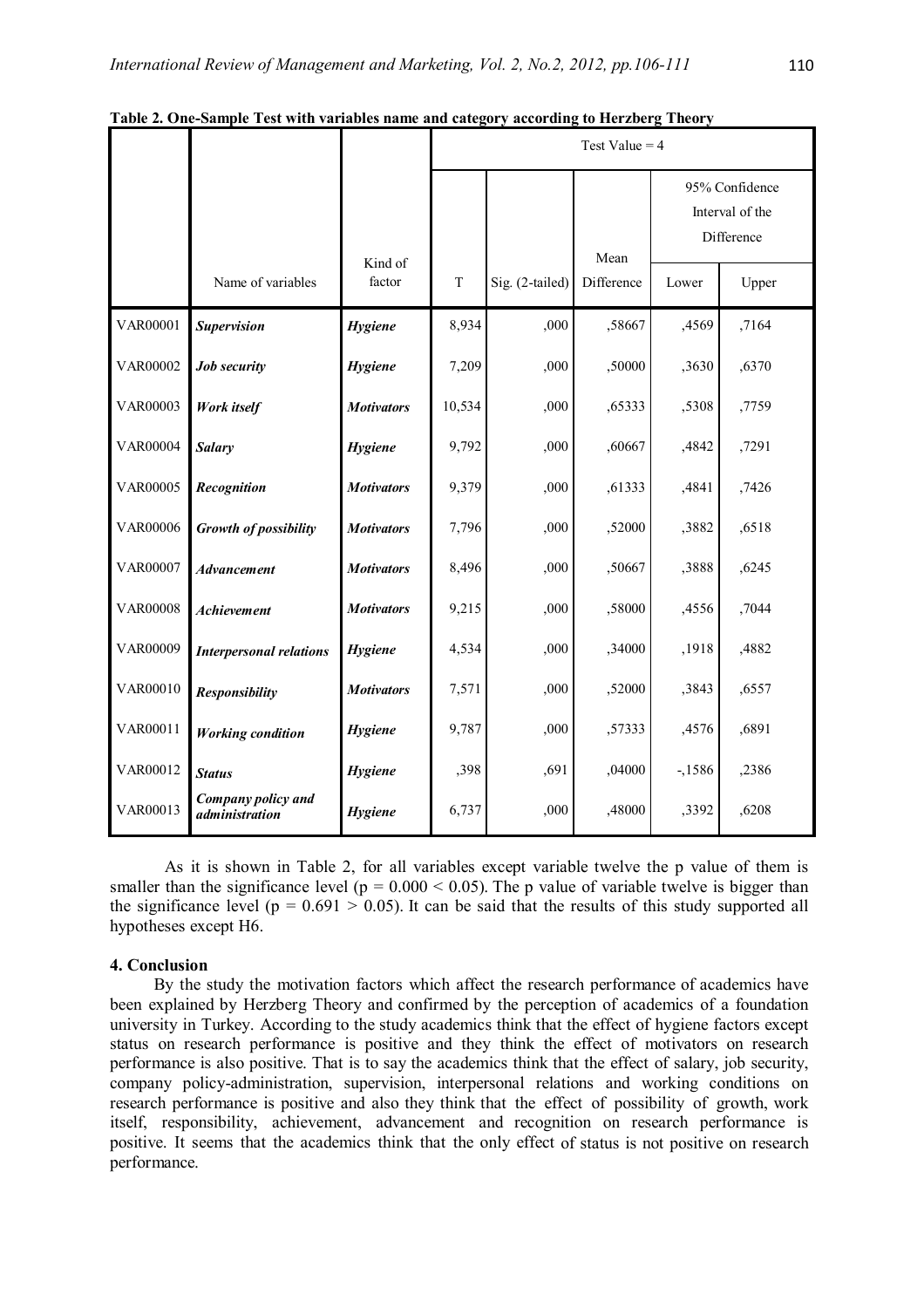|                 |                                      |                   | Test Value $=$ 4 |                 |            |                                                 |       |  |
|-----------------|--------------------------------------|-------------------|------------------|-----------------|------------|-------------------------------------------------|-------|--|
|                 |                                      |                   |                  |                 | Mean       | 95% Confidence<br>Interval of the<br>Difference |       |  |
|                 | Name of variables                    | Kind of<br>factor | $\mathbf T$      | Sig. (2-tailed) | Difference | Lower                                           | Upper |  |
| <b>VAR00001</b> | <b>Supervision</b>                   | <b>Hygiene</b>    | 8,934            | ,000            | ,58667     | ,4569                                           | ,7164 |  |
| <b>VAR00002</b> | Job security                         | <b>Hygiene</b>    | 7,209            | ,000            | ,50000     | ,3630                                           | ,6370 |  |
| <b>VAR00003</b> | Work itself                          | <b>Motivators</b> | 10,534           | ,000            | ,65333     | ,5308                                           | ,7759 |  |
| <b>VAR00004</b> | <b>Salary</b>                        | <b>Hygiene</b>    | 9,792            | ,000            | ,60667     | ,4842                                           | ,7291 |  |
| <b>VAR00005</b> | Recognition                          | <b>Motivators</b> | 9,379            | ,000            | ,61333     | ,4841                                           | ,7426 |  |
| <b>VAR00006</b> | <b>Growth of possibility</b>         | <b>Motivators</b> | 7,796            | ,000            | ,52000     | ,3882                                           | ,6518 |  |
| <b>VAR00007</b> | <b>Advancement</b>                   | <b>Motivators</b> | 8,496            | ,000            | ,50667     | ,3888                                           | ,6245 |  |
| <b>VAR00008</b> | Achievement                          | <b>Motivators</b> | 9,215            | ,000            | ,58000     | ,4556                                           | ,7044 |  |
| VAR00009        | <b>Interpersonal relations</b>       | <b>Hygiene</b>    | 4,534            | ,000            | ,34000     | ,1918                                           | ,4882 |  |
| VAR00010        | <b>Responsibility</b>                | <b>Motivators</b> | 7,571            | ,000            | ,52000     | ,3843                                           | ,6557 |  |
| VAR00011        | <b>Working</b> condition             | <b>Hygiene</b>    | 9,787            | ,000            | ,57333     | ,4576                                           | ,6891 |  |
| VAR00012        | <b>Status</b>                        | <b>Hygiene</b>    | ,398             | ,691            | ,04000     | $-1586$                                         | ,2386 |  |
| VAR00013        | Company policy and<br>administration | <b>Hygiene</b>    | 6,737            | ,000            | ,48000     | ,3392                                           | ,6208 |  |

**Table 2. One-Sample Test with variables name and category according to Herzberg Theory**

As it is shown in Table 2, for all variables except variable twelve the p value of them is smaller than the significance level ( $p = 0.000 < 0.05$ ). The p value of variable twelve is bigger than the significance level ( $p = 0.691 > 0.05$ ). It can be said that the results of this study supported all hypotheses except H6.

#### **4. Conclusion**

By the study the motivation factors which affect the research performance of academics have been explained by Herzberg Theory and confirmed by the perception of academics of a foundation university in Turkey. According to the study academics think that the effect of hygiene factors except status on research performance is positive and they think the effect of motivators on research performance is also positive. That is to say the academics think that the effect of salary, job security, company policy-administration, supervision, interpersonal relations and working conditions on research performance is positive and also they think that the effect of possibility of growth, work itself, responsibility, achievement, advancement and recognition on research performance is positive. It seems that the academics think that the only effect of status is not positive on research performance.